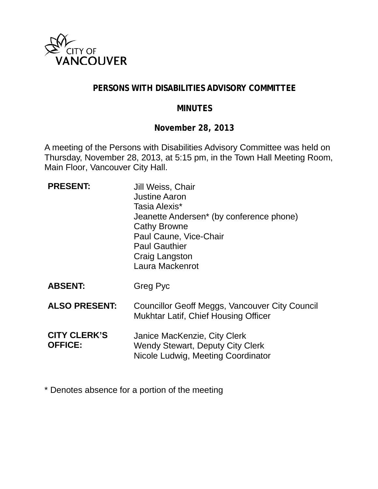

#### **PERSONS WITH DISABILITIES ADVISORY COMMITTEE**

#### **MINUTES**

**November 28, 2013**

A meeting of the Persons with Disabilities Advisory Committee was held on Thursday, November 28, 2013, at 5:15 pm, in the Town Hall Meeting Room, Main Floor, Vancouver City Hall.

| <b>PRESENT:</b>                       | Jill Weiss, Chair<br><b>Justine Aaron</b><br>Tasia Alexis*<br>Jeanette Andersen <sup>*</sup> (by conference phone)<br><b>Cathy Browne</b><br>Paul Caune, Vice-Chair<br><b>Paul Gauthier</b><br>Craig Langston<br>Laura Mackenrot |
|---------------------------------------|----------------------------------------------------------------------------------------------------------------------------------------------------------------------------------------------------------------------------------|
| <b>ABSENT:</b>                        | Greg Pyc                                                                                                                                                                                                                         |
| <b>ALSO PRESENT:</b>                  | Councillor Geoff Meggs, Vancouver City Council<br><b>Mukhtar Latif, Chief Housing Officer</b>                                                                                                                                    |
| <b>CITY CLERK'S</b><br><b>OFFICE:</b> | Janice MacKenzie, City Clerk<br><b>Wendy Stewart, Deputy City Clerk</b><br>Nicole Ludwig, Meeting Coordinator                                                                                                                    |

\* Denotes absence for a portion of the meeting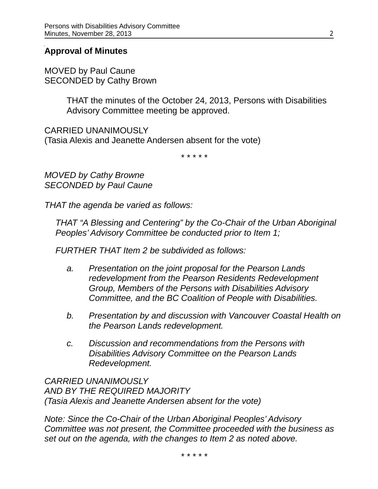#### **Approval of Minutes**

MOVED by Paul Caune SECONDED by Cathy Brown

> THAT the minutes of the October 24, 2013, Persons with Disabilities Advisory Committee meeting be approved.

CARRIED UNANIMOUSLY (Tasia Alexis and Jeanette Andersen absent for the vote)

\* \* \* \* \*

*MOVED by Cathy Browne SECONDED by Paul Caune*

*THAT the agenda be varied as follows:*

*THAT "A Blessing and Centering" by the Co-Chair of the Urban Aboriginal Peoples' Advisory Committee be conducted prior to Item 1;*

*FURTHER THAT Item 2 be subdivided as follows:*

- *a. Presentation on the joint proposal for the Pearson Lands redevelopment from the Pearson Residents Redevelopment Group, Members of the Persons with Disabilities Advisory Committee, and the BC Coalition of People with Disabilities.*
- *b. Presentation by and discussion with Vancouver Coastal Health on the Pearson Lands redevelopment.*
- *c. Discussion and recommendations from the Persons with Disabilities Advisory Committee on the Pearson Lands Redevelopment.*

*CARRIED UNANIMOUSLY AND BY THE REQUIRED MAJORITY (Tasia Alexis and Jeanette Andersen absent for the vote)*

*Note: Since the Co-Chair of the Urban Aboriginal Peoples' Advisory Committee was not present, the Committee proceeded with the business as set out on the agenda, with the changes to Item 2 as noted above.*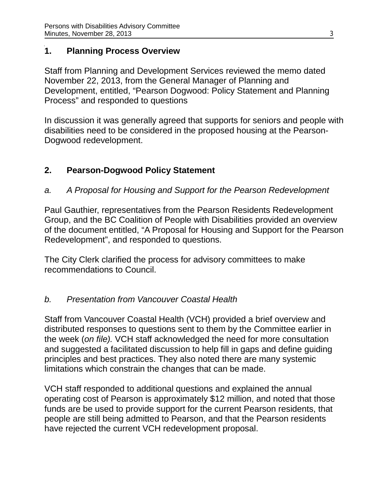# **1. Planning Process Overview**

Staff from Planning and Development Services reviewed the memo dated November 22, 2013, from the General Manager of Planning and Development, entitled, "Pearson Dogwood: Policy Statement and Planning Process" and responded to questions

In discussion it was generally agreed that supports for seniors and people with disabilities need to be considered in the proposed housing at the Pearson-Dogwood redevelopment.

# **2. Pearson-Dogwood Policy Statement**

*a. A Proposal for Housing and Support for the Pearson Redevelopment*

Paul Gauthier, representatives from the Pearson Residents Redevelopment Group, and the BC Coalition of People with Disabilities provided an overview of the document entitled, "A Proposal for Housing and Support for the Pearson Redevelopment", and responded to questions.

The City Clerk clarified the process for advisory committees to make recommendations to Council.

# *b. Presentation from Vancouver Coastal Health*

Staff from Vancouver Coastal Health (VCH) provided a brief overview and distributed responses to questions sent to them by the Committee earlier in the week (*on file).* VCH staff acknowledged the need for more consultation and suggested a facilitated discussion to help fill in gaps and define guiding principles and best practices. They also noted there are many systemic limitations which constrain the changes that can be made.

VCH staff responded to additional questions and explained the annual operating cost of Pearson is approximately \$12 million, and noted that those funds are be used to provide support for the current Pearson residents, that people are still being admitted to Pearson, and that the Pearson residents have rejected the current VCH redevelopment proposal.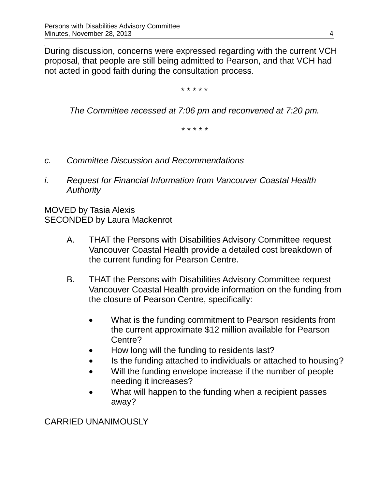During discussion, concerns were expressed regarding with the current VCH proposal, that people are still being admitted to Pearson, and that VCH had not acted in good faith during the consultation process.

\* \* \* \* \*

*The Committee recessed at 7:06 pm and reconvened at 7:20 pm.*

*\* \* \* \* \**

- *c. Committee Discussion and Recommendations*
- *i. Request for Financial Information from Vancouver Coastal Health Authority*

MOVED by Tasia Alexis SECONDED by Laura Mackenrot

- A. THAT the Persons with Disabilities Advisory Committee request Vancouver Coastal Health provide a detailed cost breakdown of the current funding for Pearson Centre.
- B. THAT the Persons with Disabilities Advisory Committee request Vancouver Coastal Health provide information on the funding from the closure of Pearson Centre, specifically:
	- What is the funding commitment to Pearson residents from the current approximate \$12 million available for Pearson Centre?
	- How long will the funding to residents last?
	- Is the funding attached to individuals or attached to housing?
	- Will the funding envelope increase if the number of people needing it increases?
	- What will happen to the funding when a recipient passes away?

CARRIED UNANIMOUSLY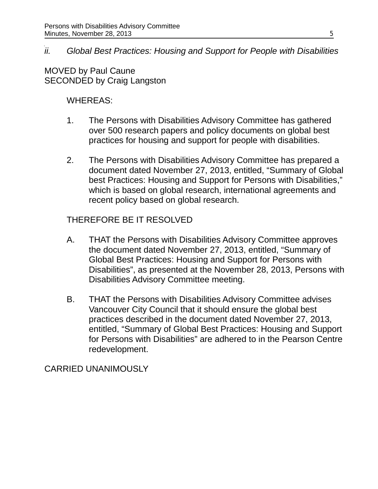# *ii. Global Best Practices: Housing and Support for People with Disabilities*

MOVED by Paul Caune SECONDED by Craig Langston

#### WHEREAS:

- 1. The Persons with Disabilities Advisory Committee has gathered over 500 research papers and policy documents on global best practices for housing and support for people with disabilities.
- 2. The Persons with Disabilities Advisory Committee has prepared a document dated November 27, 2013, entitled, "Summary of Global best Practices: Housing and Support for Persons with Disabilities," which is based on global research, international agreements and recent policy based on global research.

# THEREFORE BE IT RESOLVED

- A. THAT the Persons with Disabilities Advisory Committee approves the document dated November 27, 2013, entitled, "Summary of Global Best Practices: Housing and Support for Persons with Disabilities", as presented at the November 28, 2013, Persons with Disabilities Advisory Committee meeting.
- B. THAT the Persons with Disabilities Advisory Committee advises Vancouver City Council that it should ensure the global best practices described in the document dated November 27, 2013, entitled, "Summary of Global Best Practices: Housing and Support for Persons with Disabilities" are adhered to in the Pearson Centre redevelopment.

CARRIED UNANIMOUSLY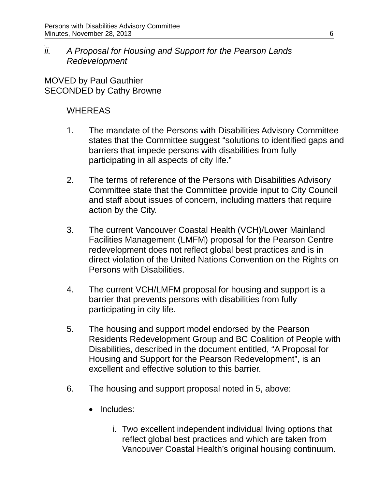*ii. A Proposal for Housing and Support for the Pearson Lands Redevelopment*

MOVED by Paul Gauthier SECONDED by Cathy Browne

#### WHEREAS

- 1. The mandate of the Persons with Disabilities Advisory Committee states that the Committee suggest "solutions to identified gaps and barriers that impede persons with disabilities from fully participating in all aspects of city life."
- 2. The terms of reference of the Persons with Disabilities Advisory Committee state that the Committee provide input to City Council and staff about issues of concern, including matters that require action by the City.
- 3. The current Vancouver Coastal Health (VCH)/Lower Mainland Facilities Management (LMFM) proposal for the Pearson Centre redevelopment does not reflect global best practices and is in direct violation of the United Nations Convention on the Rights on Persons with Disabilities.
- 4. The current VCH/LMFM proposal for housing and support is a barrier that prevents persons with disabilities from fully participating in city life.
- 5. The housing and support model endorsed by the Pearson Residents Redevelopment Group and BC Coalition of People with Disabilities, described in the document entitled, "A Proposal for Housing and Support for the Pearson Redevelopment", is an excellent and effective solution to this barrier.
- 6. The housing and support proposal noted in 5, above:
	- Includes:
		- i. Two excellent independent individual living options that reflect global best practices and which are taken from Vancouver Coastal Health's original housing continuum.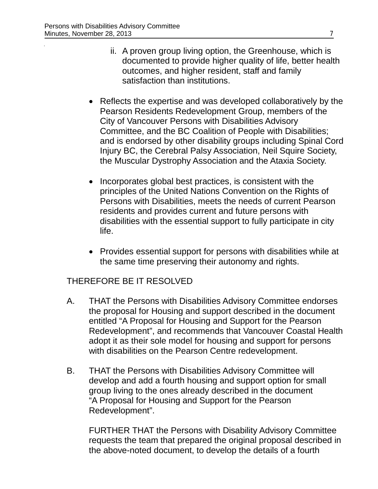- ii. A proven group living option, the Greenhouse, which is documented to provide higher quality of life, better health outcomes, and higher resident, staff and family satisfaction than institutions.
- Reflects the expertise and was developed collaboratively by the Pearson Residents Redevelopment Group, members of the City of Vancouver Persons with Disabilities Advisory Committee, and the BC Coalition of People with Disabilities; and is endorsed by other disability groups including Spinal Cord Injury BC, the Cerebral Palsy Association, Neil Squire Society, the Muscular Dystrophy Association and the Ataxia Society.
- Incorporates global best practices, is consistent with the principles of the United Nations Convention on the Rights of Persons with Disabilities, meets the needs of current Pearson residents and provides current and future persons with disabilities with the essential support to fully participate in city life.
- Provides essential support for persons with disabilities while at the same time preserving their autonomy and rights.

# THEREFORE BE IT RESOLVED

- A. THAT the Persons with Disabilities Advisory Committee endorses the proposal for Housing and support described in the document entitled "A Proposal for Housing and Support for the Pearson Redevelopment", and recommends that Vancouver Coastal Health adopt it as their sole model for housing and support for persons with disabilities on the Pearson Centre redevelopment.
- B. THAT the Persons with Disabilities Advisory Committee will develop and add a fourth housing and support option for small group living to the ones already described in the document "A Proposal for Housing and Support for the Pearson Redevelopment".

FURTHER THAT the Persons with Disability Advisory Committee requests the team that prepared the original proposal described in the above-noted document, to develop the details of a fourth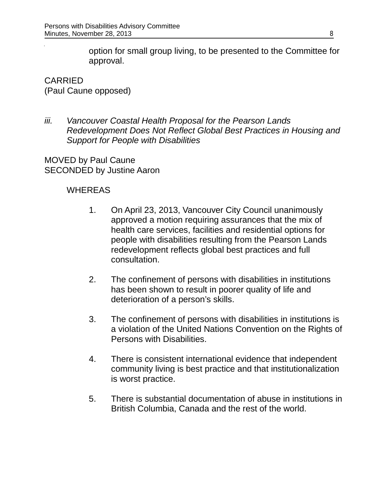option for small group living, to be presented to the Committee for approval.

CARRIED (Paul Caune opposed)

*iii. Vancouver Coastal Health Proposal for the Pearson Lands Redevelopment Does Not Reflect Global Best Practices in Housing and Support for People with Disabilities*

MOVED by Paul Caune SECONDED by Justine Aaron

#### **WHEREAS**

- 1. On April 23, 2013, Vancouver City Council unanimously approved a motion requiring assurances that the mix of health care services, facilities and residential options for people with disabilities resulting from the Pearson Lands redevelopment reflects global best practices and full consultation.
- 2. The confinement of persons with disabilities in institutions has been shown to result in poorer quality of life and deterioration of a person's skills.
- 3. The confinement of persons with disabilities in institutions is a violation of the United Nations Convention on the Rights of Persons with Disabilities.
- 4. There is consistent international evidence that independent community living is best practice and that institutionalization is worst practice.
- 5. There is substantial documentation of abuse in institutions in British Columbia, Canada and the rest of the world.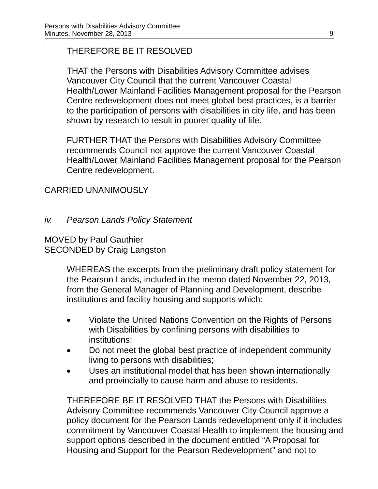# THEREFORE BE IT RESOLVED

THAT the Persons with Disabilities Advisory Committee advises Vancouver City Council that the current Vancouver Coastal Health/Lower Mainland Facilities Management proposal for the Pearson Centre redevelopment does not meet global best practices, is a barrier to the participation of persons with disabilities in city life, and has been shown by research to result in poorer quality of life.

FURTHER THAT the Persons with Disabilities Advisory Committee recommends Council not approve the current Vancouver Coastal Health/Lower Mainland Facilities Management proposal for the Pearson Centre redevelopment.

# CARRIED UNANIMOUSLY

*iv. Pearson Lands Policy Statement*

MOVED by Paul Gauthier SECONDED by Craig Langston

> WHEREAS the excerpts from the preliminary draft policy statement for the Pearson Lands, included in the memo dated November 22, 2013, from the General Manager of Planning and Development, describe institutions and facility housing and supports which:

- Violate the United Nations Convention on the Rights of Persons with Disabilities by confining persons with disabilities to institutions;
- Do not meet the global best practice of independent community living to persons with disabilities;
- Uses an institutional model that has been shown internationally and provincially to cause harm and abuse to residents.

THEREFORE BE IT RESOLVED THAT the Persons with Disabilities Advisory Committee recommends Vancouver City Council approve a policy document for the Pearson Lands redevelopment only if it includes commitment by Vancouver Coastal Health to implement the housing and support options described in the document entitled "A Proposal for Housing and Support for the Pearson Redevelopment" and not to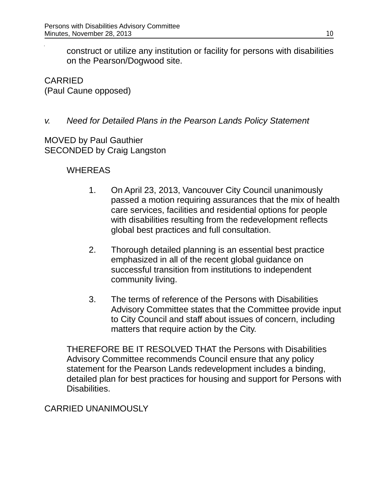construct or utilize any institution or facility for persons with disabilities on the Pearson/Dogwood site.

CARRIED (Paul Caune opposed)

# *v. Need for Detailed Plans in the Pearson Lands Policy Statement*

MOVED by Paul Gauthier SECONDED by Craig Langston

# WHEREAS

- 1. On April 23, 2013, Vancouver City Council unanimously passed a motion requiring assurances that the mix of health care services, facilities and residential options for people with disabilities resulting from the redevelopment reflects global best practices and full consultation.
- 2. Thorough detailed planning is an essential best practice emphasized in all of the recent global guidance on successful transition from institutions to independent community living.
- 3. The terms of reference of the Persons with Disabilities Advisory Committee states that the Committee provide input to City Council and staff about issues of concern, including matters that require action by the City.

THEREFORE BE IT RESOLVED THAT the Persons with Disabilities Advisory Committee recommends Council ensure that any policy statement for the Pearson Lands redevelopment includes a binding, detailed plan for best practices for housing and support for Persons with Disabilities.

# CARRIED UNANIMOUSLY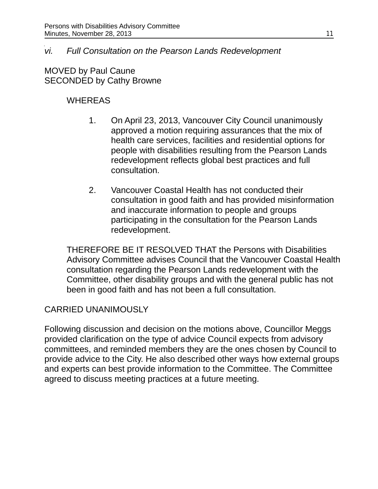#### *vi. Full Consultation on the Pearson Lands Redevelopment*

MOVED by Paul Caune SECONDED by Cathy Browne

# WHEREAS

- 1. On April 23, 2013, Vancouver City Council unanimously approved a motion requiring assurances that the mix of health care services, facilities and residential options for people with disabilities resulting from the Pearson Lands redevelopment reflects global best practices and full consultation.
- 2. Vancouver Coastal Health has not conducted their consultation in good faith and has provided misinformation and inaccurate information to people and groups participating in the consultation for the Pearson Lands redevelopment.

THEREFORE BE IT RESOLVED THAT the Persons with Disabilities Advisory Committee advises Council that the Vancouver Coastal Health consultation regarding the Pearson Lands redevelopment with the Committee, other disability groups and with the general public has not been in good faith and has not been a full consultation.

# CARRIED UNANIMOUSLY

Following discussion and decision on the motions above, Councillor Meggs provided clarification on the type of advice Council expects from advisory committees, and reminded members they are the ones chosen by Council to provide advice to the City. He also described other ways how external groups and experts can best provide information to the Committee. The Committee agreed to discuss meeting practices at a future meeting.